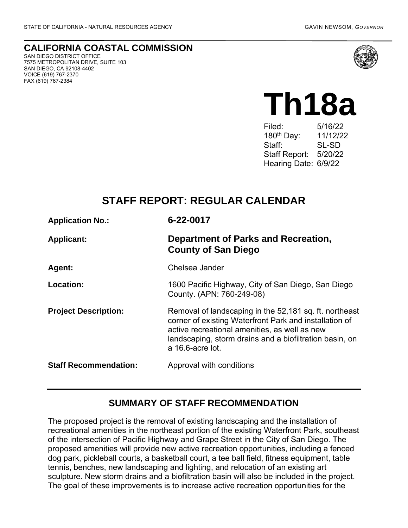FAX (619) 767-2384

**CALIFORNIA COASTAL COMMISSION** SAN DIEGO DISTRICT OFFICE 7575 METROPOLITAN DRIVE, SUITE 103 SAN DIEGO, CA 92108-4402 VOICE (619) 767-2370



# **Th18a**

Filed: 5/16/22 180th Day: 11/12/22 Staff: SL-SD Staff Report: 5/20/22 Hearing Date: 6/9/22

# **STAFF REPORT: REGULAR CALENDAR**

| <b>Application No.:</b>      | 6-22-0017                                                                                                                                                                                                                                        |
|------------------------------|--------------------------------------------------------------------------------------------------------------------------------------------------------------------------------------------------------------------------------------------------|
| <b>Applicant:</b>            | Department of Parks and Recreation,<br><b>County of San Diego</b>                                                                                                                                                                                |
| <b>Agent:</b>                | Chelsea Jander                                                                                                                                                                                                                                   |
| <b>Location:</b>             | 1600 Pacific Highway, City of San Diego, San Diego<br>County. (APN: 760-249-08)                                                                                                                                                                  |
| <b>Project Description:</b>  | Removal of landscaping in the 52,181 sq. ft. northeast<br>corner of existing Waterfront Park and installation of<br>active recreational amenities, as well as new<br>landscaping, storm drains and a biofiltration basin, on<br>a 16.6-acre lot. |
| <b>Staff Recommendation:</b> | Approval with conditions                                                                                                                                                                                                                         |

## **SUMMARY OF STAFF RECOMMENDATION**

The proposed project is the removal of existing landscaping and the installation of recreational amenities in the northeast portion of the existing Waterfront Park, southeast of the intersection of Pacific Highway and Grape Street in the City of San Diego. The proposed amenities will provide new active recreation opportunities, including a fenced dog park, pickleball courts, a basketball court, a tee ball field, fitness equipment, table tennis, benches, new landscaping and lighting, and relocation of an existing art sculpture. New storm drains and a biofiltration basin will also be included in the project. The goal of these improvements is to increase active recreation opportunities for the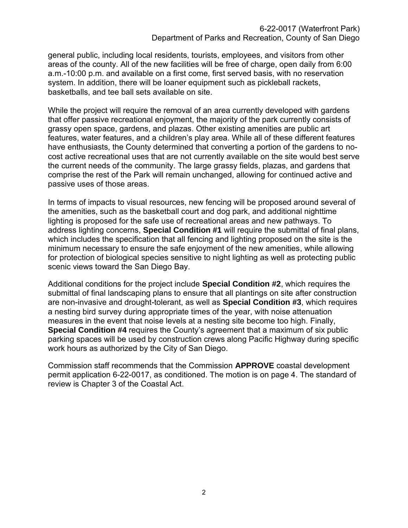general public, including local residents, tourists, employees, and visitors from other areas of the county. All of the new facilities will be free of charge, open daily from 6:00 a.m.-10:00 p.m. and available on a first come, first served basis, with no reservation system. In addition, there will be loaner equipment such as pickleball rackets, basketballs, and tee ball sets available on site.

While the project will require the removal of an area currently developed with gardens that offer passive recreational enjoyment, the majority of the park currently consists of grassy open space, gardens, and plazas. Other existing amenities are public art features, water features, and a children's play area. While all of these different features have enthusiasts, the County determined that converting a portion of the gardens to nocost active recreational uses that are not currently available on the site would best serve the current needs of the community. The large grassy fields, plazas, and gardens that comprise the rest of the Park will remain unchanged, allowing for continued active and passive uses of those areas.

In terms of impacts to visual resources, new fencing will be proposed around several of the amenities, such as the basketball court and dog park, and additional nighttime lighting is proposed for the safe use of recreational areas and new pathways. To address lighting concerns, **Special Condition #1** will require the submittal of final plans, which includes the specification that all fencing and lighting proposed on the site is the minimum necessary to ensure the safe enjoyment of the new amenities, while allowing for protection of biological species sensitive to night lighting as well as protecting public scenic views toward the San Diego Bay.

Additional conditions for the project include **Special Condition #2**, which requires the submittal of final landscaping plans to ensure that all plantings on site after construction are non-invasive and drought-tolerant, as well as **Special Condition #3**, which requires a nesting bird survey during appropriate times of the year, with noise attenuation measures in the event that noise levels at a nesting site become too high. Finally, **Special Condition #4** requires the County's agreement that a maximum of six public parking spaces will be used by construction crews along Pacific Highway during specific work hours as authorized by the City of San Diego.

Commission staff recommends that the Commission **APPROVE** coastal development permit application 6-22-0017, as conditioned. The motion is on page 4. The standard of review is Chapter 3 of the Coastal Act.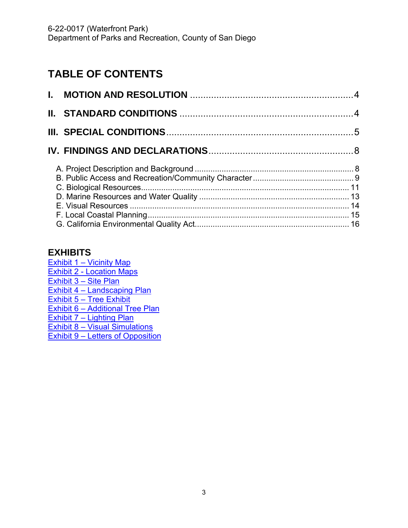# **TABLE OF CONTENTS**

## **EXHIBITS**

Exhibit 1 – [Vicinity Map](https://documents.coastal.ca.gov/reports/2022/6/th18a/th18a-6-2022-exhibits.pdf) Exhibit 2 - [Location Maps](https://documents.coastal.ca.gov/reports/2022/6/th18a/th18a-6-2022-exhibits.pdf) Exhibit 3 – [Site Plan](https://documents.coastal.ca.gov/reports/2022/6/th18a/th18a-6-2022-exhibits.pdf) Exhibit 4 – [Landscaping](https://documents.coastal.ca.gov/reports/2022/6/th18a/th18a-6-2022-exhibits.pdf) Plan [Exhibit 5](https://documents.coastal.ca.gov/reports/2022/6/th18a/th18a-6-2022-exhibits.pdf) – Tree Exhibit Exhibit 6 – [Additional](https://documents.coastal.ca.gov/reports/2022/6/th18a/th18a-6-2022-exhibits.pdf) Tree Plan [Exhibit 7](https://documents.coastal.ca.gov/reports/2022/6/th18a/th18a-6-2022-exhibits.pdf) – Lighting Plan Exhibit 8 – [Visual Simulations](https://documents.coastal.ca.gov/reports/2022/6/th18a/th18a-6-2022-exhibits.pdf) Exhibit 9 – [Letters of Opposition](https://documents.coastal.ca.gov/reports/2022/6/th18a/th18a-6-2022-exhibits.pdf)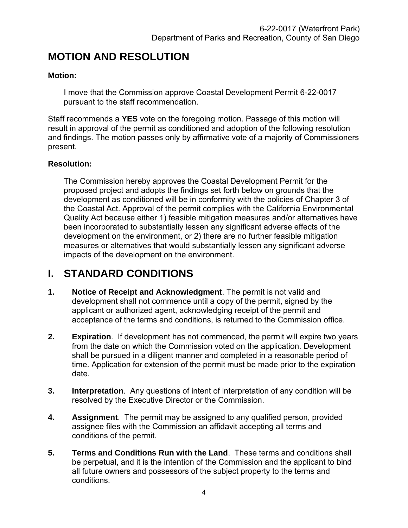# <span id="page-3-0"></span>**MOTION AND RESOLUTION**

#### **Motion:**

I move that the Commission approve Coastal Development Permit 6-22-0017 pursuant to the staff recommendation.

Staff recommends a **YES** vote on the foregoing motion. Passage of this motion will result in approval of the permit as conditioned and adoption of the following resolution and findings. The motion passes only by affirmative vote of a majority of Commissioners present.

#### **Resolution:**

The Commission hereby approves the Coastal Development Permit for the proposed project and adopts the findings set forth below on grounds that the development as conditioned will be in conformity with the policies of Chapter 3 of the Coastal Act. Approval of the permit complies with the California Environmental Quality Act because either 1) feasible mitigation measures and/or alternatives have been incorporated to substantially lessen any significant adverse effects of the development on the environment, or 2) there are no further feasible mitigation measures or alternatives that would substantially lessen any significant adverse impacts of the development on the environment.

# <span id="page-3-1"></span>**I. STANDARD CONDITIONS**

- **1. Notice of Receipt and Acknowledgment**. The permit is not valid and development shall not commence until a copy of the permit, signed by the applicant or authorized agent, acknowledging receipt of the permit and acceptance of the terms and conditions, is returned to the Commission office.
- **2. Expiration**. If development has not commenced, the permit will expire two years from the date on which the Commission voted on the application. Development shall be pursued in a diligent manner and completed in a reasonable period of time. Application for extension of the permit must be made prior to the expiration date.
- **3. Interpretation**. Any questions of intent of interpretation of any condition will be resolved by the Executive Director or the Commission.
- **4. Assignment**. The permit may be assigned to any qualified person, provided assignee files with the Commission an affidavit accepting all terms and conditions of the permit.
- **5. Terms and Conditions Run with the Land**. These terms and conditions shall be perpetual, and it is the intention of the Commission and the applicant to bind all future owners and possessors of the subject property to the terms and conditions.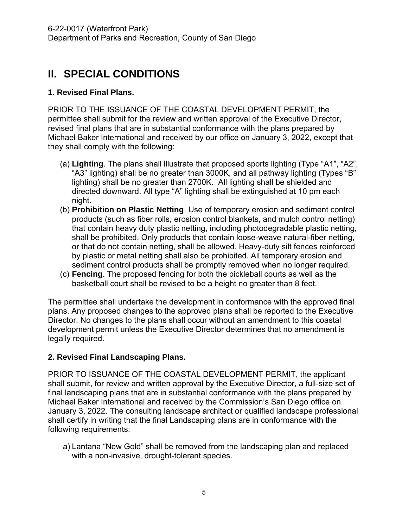# <span id="page-4-0"></span>**II. SPECIAL CONDITIONS**

#### **1. Revised Final Plans.**

PRIOR TO THE ISSUANCE OF THE COASTAL DEVELOPMENT PERMIT, the permittee shall submit for the review and written approval of the Executive Director, revised final plans that are in substantial conformance with the plans prepared by Michael Baker International and received by our office on January 3, 2022, except that they shall comply with the following:

- (a) **Lighting**. The plans shall illustrate that proposed sports lighting (Type "A1", "A2", "A3" lighting) shall be no greater than 3000K, and all pathway lighting (Types "B" lighting) shall be no greater than 2700K. All lighting shall be shielded and directed downward. All type "A" lighting shall be extinguished at 10 pm each night.
- (b) **Prohibition on Plastic Netting**. Use of temporary erosion and sediment control products (such as fiber rolls, erosion control blankets, and mulch control netting) that contain heavy duty plastic netting, including photodegradable plastic netting, shall be prohibited. Only products that contain loose-weave natural-fiber netting, or that do not contain netting, shall be allowed. Heavy-duty silt fences reinforced by plastic or metal netting shall also be prohibited. All temporary erosion and sediment control products shall be promptly removed when no longer required.
- (c) **Fencing**. The proposed fencing for both the pickleball courts as well as the basketball court shall be revised to be a height no greater than 8 feet.

The permittee shall undertake the development in conformance with the approved final plans. Any proposed changes to the approved plans shall be reported to the Executive Director. No changes to the plans shall occur without an amendment to this coastal development permit unless the Executive Director determines that no amendment is legally required.

#### **2. Revised Final Landscaping Plans.**

PRIOR TO ISSUANCE OF THE COASTAL DEVELOPMENT PERMIT, the applicant shall submit, for review and written approval by the Executive Director, a full-size set of final landscaping plans that are in substantial conformance with the plans prepared by Michael Baker International and received by the Commission's San Diego office on January 3, 2022. The consulting landscape architect or qualified landscape professional shall certify in writing that the final Landscaping plans are in conformance with the following requirements:

a) Lantana "New Gold" shall be removed from the landscaping plan and replaced with a non-invasive, drought-tolerant species.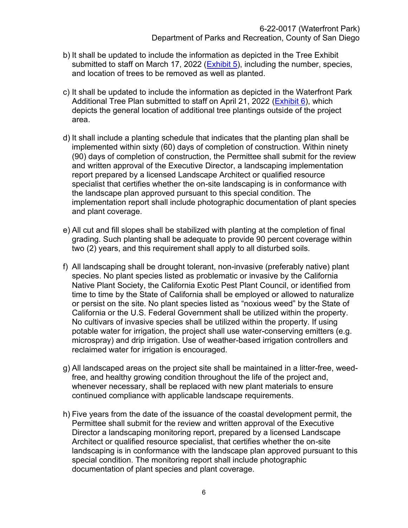- b) It shall be updated to include the information as depicted in the Tree Exhibit submitted to staff on March 17, 2022 [\(Exhibit 5\)](https://documents.coastal.ca.gov/reports/2022/6/th18a/th18a-6-2022-exhibits.pdf), including the number, species, and location of trees to be removed as well as planted.
- c) It shall be updated to include the information as depicted in the Waterfront Park Additional Tree Plan submitted to staff on April 21, 2022 [\(Exhibit 6\)](https://documents.coastal.ca.gov/reports/2022/6/th18a/th18a-6-2022-exhibits.pdf), which depicts the general location of additional tree plantings outside of the project area.
- d) It shall include a planting schedule that indicates that the planting plan shall be implemented within sixty (60) days of completion of construction. Within ninety (90) days of completion of construction, the Permittee shall submit for the review and written approval of the Executive Director, a landscaping implementation report prepared by a licensed Landscape Architect or qualified resource specialist that certifies whether the on-site landscaping is in conformance with the landscape plan approved pursuant to this special condition. The implementation report shall include photographic documentation of plant species and plant coverage.
- e) All cut and fill slopes shall be stabilized with planting at the completion of final grading. Such planting shall be adequate to provide 90 percent coverage within two (2) years, and this requirement shall apply to all disturbed soils.
- f) All landscaping shall be drought tolerant, non-invasive (preferably native) plant species. No plant species listed as problematic or invasive by the California Native Plant Society, the California Exotic Pest Plant Council, or identified from time to time by the State of California shall be employed or allowed to naturalize or persist on the site. No plant species listed as "noxious weed" by the State of California or the U.S. Federal Government shall be utilized within the property. No cultivars of invasive species shall be utilized within the property. If using potable water for irrigation, the project shall use water-conserving emitters (e.g. microspray) and drip irrigation. Use of weather-based irrigation controllers and reclaimed water for irrigation is encouraged.
- g) All landscaped areas on the project site shall be maintained in a litter-free, weedfree, and healthy growing condition throughout the life of the project and, whenever necessary, shall be replaced with new plant materials to ensure continued compliance with applicable landscape requirements.
- h) Five years from the date of the issuance of the coastal development permit, the Permittee shall submit for the review and written approval of the Executive Director a landscaping monitoring report, prepared by a licensed Landscape Architect or qualified resource specialist, that certifies whether the on-site landscaping is in conformance with the landscape plan approved pursuant to this special condition. The monitoring report shall include photographic documentation of plant species and plant coverage.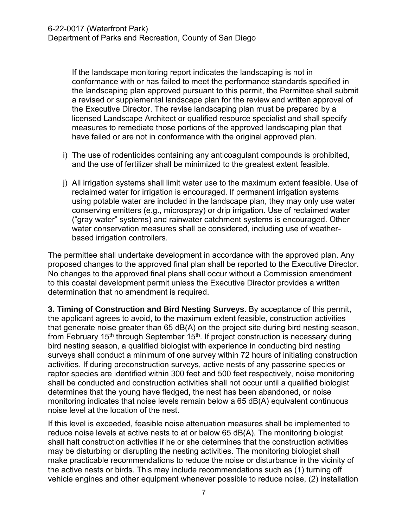If the landscape monitoring report indicates the landscaping is not in conformance with or has failed to meet the performance standards specified in the landscaping plan approved pursuant to this permit, the Permittee shall submit a revised or supplemental landscape plan for the review and written approval of the Executive Director. The revise landscaping plan must be prepared by a licensed Landscape Architect or qualified resource specialist and shall specify measures to remediate those portions of the approved landscaping plan that have failed or are not in conformance with the original approved plan.

- i) The use of rodenticides containing any anticoagulant compounds is prohibited, and the use of fertilizer shall be minimized to the greatest extent feasible.
- j) All irrigation systems shall limit water use to the maximum extent feasible. Use of reclaimed water for irrigation is encouraged. If permanent irrigation systems using potable water are included in the landscape plan, they may only use water conserving emitters (e.g., microspray) or drip irrigation. Use of reclaimed water ("gray water" systems) and rainwater catchment systems is encouraged. Other water conservation measures shall be considered, including use of weatherbased irrigation controllers.

The permittee shall undertake development in accordance with the approved plan. Any proposed changes to the approved final plan shall be reported to the Executive Director. No changes to the approved final plans shall occur without a Commission amendment to this coastal development permit unless the Executive Director provides a written determination that no amendment is required.

**3. Timing of Construction and Bird Nesting Surveys**. By acceptance of this permit, the applicant agrees to avoid, to the maximum extent feasible, construction activities that generate noise greater than 65 dB(A) on the project site during bird nesting season, from February 15<sup>th</sup> through September 15<sup>th</sup>. If project construction is necessary during bird nesting season, a qualified biologist with experience in conducting bird nesting surveys shall conduct a minimum of one survey within 72 hours of initiating construction activities. If during preconstruction surveys, active nests of any passerine species or raptor species are identified within 300 feet and 500 feet respectively, noise monitoring shall be conducted and construction activities shall not occur until a qualified biologist determines that the young have fledged, the nest has been abandoned, or noise monitoring indicates that noise levels remain below a 65 dB(A) equivalent continuous noise level at the location of the nest.

If this level is exceeded, feasible noise attenuation measures shall be implemented to reduce noise levels at active nests to at or below 65 dB(A). The monitoring biologist shall halt construction activities if he or she determines that the construction activities may be disturbing or disrupting the nesting activities. The monitoring biologist shall make practicable recommendations to reduce the noise or disturbance in the vicinity of the active nests or birds. This may include recommendations such as (1) turning off vehicle engines and other equipment whenever possible to reduce noise, (2) installation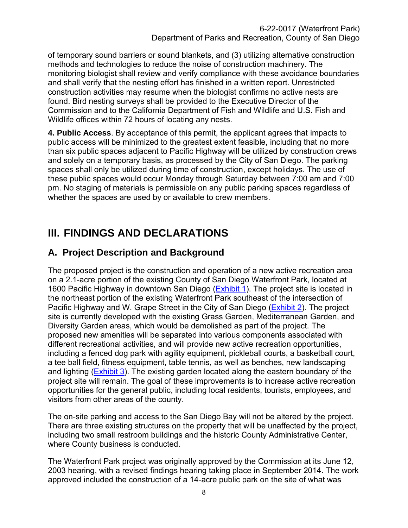of temporary sound barriers or sound blankets, and (3) utilizing alternative construction methods and technologies to reduce the noise of construction machinery. The monitoring biologist shall review and verify compliance with these avoidance boundaries and shall verify that the nesting effort has finished in a written report. Unrestricted construction activities may resume when the biologist confirms no active nests are found. Bird nesting surveys shall be provided to the Executive Director of the Commission and to the California Department of Fish and Wildlife and U.S. Fish and Wildlife offices within 72 hours of locating any nests.

**4. Public Access**. By acceptance of this permit, the applicant agrees that impacts to public access will be minimized to the greatest extent feasible, including that no more than six public spaces adjacent to Pacific Highway will be utilized by construction crews and solely on a temporary basis, as processed by the City of San Diego. The parking spaces shall only be utilized during time of construction, except holidays. The use of these public spaces would occur Monday through Saturday between 7:00 am and 7:00 pm. No staging of materials is permissible on any public parking spaces regardless of whether the spaces are used by or available to crew members.

# <span id="page-7-0"></span>**III. FINDINGS AND DECLARATIONS**

# <span id="page-7-1"></span>**A. Project Description and Background**

The proposed project is the construction and operation of a new active recreation area on a 2.1-acre portion of the existing County of San Diego Waterfront Park, located at 1600 Pacific Highway in downtown San Diego [\(Exhibit 1\)](https://documents.coastal.ca.gov/reports/2022/6/th18a/th18a-6-2022-exhibits.pdf). The project site is located in the northeast portion of the existing Waterfront Park southeast of the intersection of Pacific Highway and W. Grape Street in the City of San Diego [\(Exhibit 2\)](https://documents.coastal.ca.gov/reports/2022/6/th18a/th18a-6-2022-exhibits.pdf). The project site is currently developed with the existing Grass Garden, Mediterranean Garden, and Diversity Garden areas, which would be demolished as part of the project. The proposed new amenities will be separated into various components associated with different recreational activities, and will provide new active recreation opportunities, including a fenced dog park with agility equipment, pickleball courts, a basketball court, a tee ball field, fitness equipment, table tennis, as well as benches, new landscaping and lighting [\(Exhibit 3\)](https://documents.coastal.ca.gov/reports/2022/6/th18a/th18a-6-2022-exhibits.pdf). The existing garden located along the eastern boundary of the project site will remain. The goal of these improvements is to increase active recreation opportunities for the general public, including local residents, tourists, employees, and visitors from other areas of the county.

The on-site parking and access to the San Diego Bay will not be altered by the project. There are three existing structures on the property that will be unaffected by the project, including two small restroom buildings and the historic County Administrative Center, where County business is conducted.

The Waterfront Park project was originally approved by the Commission at its June 12, 2003 hearing, with a revised findings hearing taking place in September 2014. The work approved included the construction of a 14-acre public park on the site of what was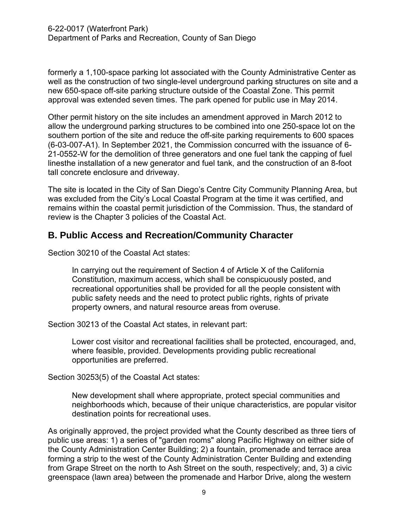formerly a 1,100-space parking lot associated with the County Administrative Center as well as the construction of two single-level underground parking structures on site and a new 650-space off-site parking structure outside of the Coastal Zone. This permit approval was extended seven times. The park opened for public use in May 2014.

Other permit history on the site includes an amendment approved in March 2012 to allow the underground parking structures to be combined into one 250-space lot on the southern portion of the site and reduce the off-site parking requirements to 600 spaces (6-03-007-A1). In September 2021, the Commission concurred with the issuance of 6- 21-0552-W for the demolition of three generators and one fuel tank the capping of fuel linesthe installation of a new generator and fuel tank, and the construction of an 8-foot tall concrete enclosure and driveway.

The site is located in the City of San Diego's Centre City Community Planning Area, but was excluded from the City's Local Coastal Program at the time it was certified, and remains within the coastal permit jurisdiction of the Commission. Thus, the standard of review is the Chapter 3 policies of the Coastal Act.

## <span id="page-8-0"></span>**B. Public Access and Recreation/Community Character**

Section 30210 of the Coastal Act states:

In carrying out the requirement of Section 4 of Article X of the California Constitution, maximum access, which shall be conspicuously posted, and recreational opportunities shall be provided for all the people consistent with public safety needs and the need to protect public rights, rights of private property owners, and natural resource areas from overuse.

Section 30213 of the Coastal Act states, in relevant part:

Lower cost visitor and recreational facilities shall be protected, encouraged, and, where feasible, provided. Developments providing public recreational opportunities are preferred.

Section 30253(5) of the Coastal Act states:

New development shall where appropriate, protect special communities and neighborhoods which, because of their unique characteristics, are popular visitor destination points for recreational uses.

As originally approved, the project provided what the County described as three tiers of public use areas: 1) a series of "garden rooms" along Pacific Highway on either side of the County Administration Center Building; 2) a fountain, promenade and terrace area forming a strip to the west of the County Administration Center Building and extending from Grape Street on the north to Ash Street on the south, respectively; and, 3) a civic greenspace (lawn area) between the promenade and Harbor Drive, along the western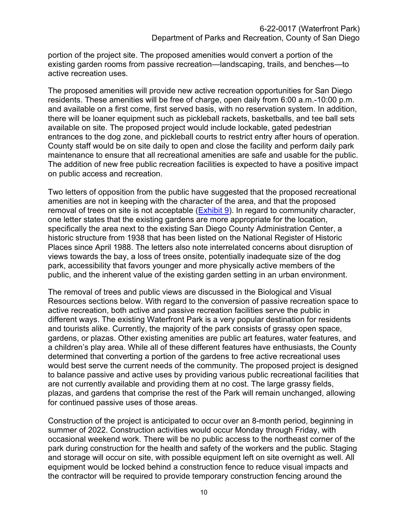portion of the project site. The proposed amenities would convert a portion of the existing garden rooms from passive recreation—landscaping, trails, and benches—to active recreation uses.

The proposed amenities will provide new active recreation opportunities for San Diego residents. These amenities will be free of charge, open daily from 6:00 a.m.-10:00 p.m. and available on a first come, first served basis, with no reservation system. In addition, there will be loaner equipment such as pickleball rackets, basketballs, and tee ball sets available on site. The proposed project would include lockable, gated pedestrian entrances to the dog zone, and pickleball courts to restrict entry after hours of operation. County staff would be on site daily to open and close the facility and perform daily park maintenance to ensure that all recreational amenities are safe and usable for the public. The addition of new free public recreation facilities is expected to have a positive impact on public access and recreation.

Two letters of opposition from the public have suggested that the proposed recreational amenities are not in keeping with the character of the area, and that the proposed removal of trees on site is not acceptable [\(Exhibit 9\)](https://documents.coastal.ca.gov/reports/2022/6/th18a/th18a-6-2022-exhibits.pdf). In regard to community character, one letter states that the existing gardens are more appropriate for the location, specifically the area next to the existing San Diego County Administration Center, a historic structure from 1938 that has been listed on the National Register of Historic Places since April 1988. The letters also note interrelated concerns about disruption of views towards the bay, a loss of trees onsite, potentially inadequate size of the dog park, accessibility that favors younger and more physically active members of the public, and the inherent value of the existing garden setting in an urban environment.

The removal of trees and public views are discussed in the Biological and Visual Resources sections below. With regard to the conversion of passive recreation space to active recreation, both active and passive recreation facilities serve the public in different ways. The existing Waterfront Park is a very popular destination for residents and tourists alike. Currently, the majority of the park consists of grassy open space, gardens, or plazas. Other existing amenities are public art features, water features, and a children's play area. While all of these different features have enthusiasts, the County determined that converting a portion of the gardens to free active recreational uses would best serve the current needs of the community. The proposed project is designed to balance passive and active uses by providing various public recreational facilities that are not currently available and providing them at no cost. The large grassy fields, plazas, and gardens that comprise the rest of the Park will remain unchanged, allowing for continued passive uses of those areas.

Construction of the project is anticipated to occur over an 8-month period, beginning in summer of 2022. Construction activities would occur Monday through Friday, with occasional weekend work. There will be no public access to the northeast corner of the park during construction for the health and safety of the workers and the public. Staging and storage will occur on site, with possible equipment left on site overnight as well. All equipment would be locked behind a construction fence to reduce visual impacts and the contractor will be required to provide temporary construction fencing around the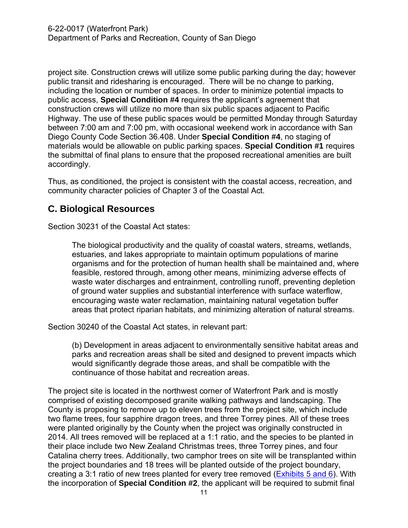project site. Construction crews will utilize some public parking during the day; however public transit and ridesharing is encouraged. There will be no change to parking, including the location or number of spaces. In order to minimize potential impacts to public access, **Special Condition #4** requires the applicant's agreement that construction crews will utilize no more than six public spaces adjacent to Pacific Highway. The use of these public spaces would be permitted Monday through Saturday between 7:00 am and 7:00 pm, with occasional weekend work in accordance with San Diego County Code Section 36.408. Under **Special Condition #4**, no staging of materials would be allowable on public parking spaces. **Special Condition #1** requires the submittal of final plans to ensure that the proposed recreational amenities are built accordingly.

Thus, as conditioned, the project is consistent with the coastal access, recreation, and community character policies of Chapter 3 of the Coastal Act.

## <span id="page-10-0"></span>**C. Biological Resources**

Section 30231 of the Coastal Act states:

The biological productivity and the quality of coastal waters, streams, wetlands, estuaries, and lakes appropriate to maintain optimum populations of marine organisms and for the protection of human health shall be maintained and, where feasible, restored through, among other means, minimizing adverse effects of waste water discharges and entrainment, controlling runoff, preventing depletion of ground water supplies and substantial interference with surface waterflow, encouraging waste water reclamation, maintaining natural vegetation buffer areas that protect riparian habitats, and minimizing alteration of natural streams.

Section 30240 of the Coastal Act states, in relevant part:

(b) Development in areas adjacent to environmentally sensitive habitat areas and parks and recreation areas shall be sited and designed to prevent impacts which would significantly degrade those areas, and shall be compatible with the continuance of those habitat and recreation areas.

The project site is located in the northwest corner of Waterfront Park and is mostly comprised of existing decomposed granite walking pathways and landscaping. The County is proposing to remove up to eleven trees from the project site, which include two flame trees, four sapphire dragon trees, and three Torrey pines. All of these trees were planted originally by the County when the project was originally constructed in 2014. All trees removed will be replaced at a 1:1 ratio, and the species to be planted in their place include two New Zealand Christmas trees, three Torrey pines, and four Catalina cherry trees. Additionally, two camphor trees on site will be transplanted within the project boundaries and 18 trees will be planted outside of the project boundary, creating a 3:1 ratio of new trees planted for every tree removed [\(Exhibits 5 and 6\)](https://documents.coastal.ca.gov/reports/2022/6/th18a/th18a-6-2022-exhibits.pdf). With the incorporation of **Special Condition #2**, the applicant will be required to submit final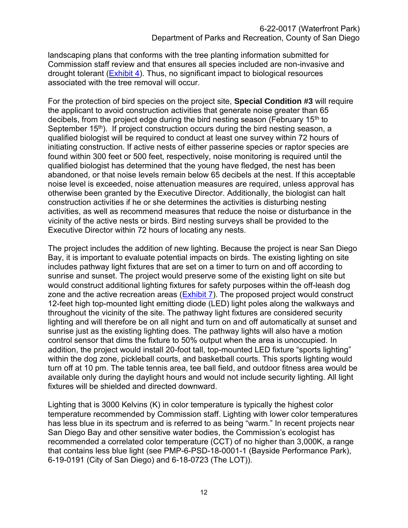landscaping plans that conforms with the tree planting information submitted for Commission staff review and that ensures all species included are non-invasive and drought tolerant [\(Exhibit 4\)](https://documents.coastal.ca.gov/reports/2022/6/th18a/th18a-6-2022-exhibits.pdf). Thus, no significant impact to biological resources associated with the tree removal will occur.

For the protection of bird species on the project site, **Special Condition #3** will require the applicant to avoid construction activities that generate noise greater than 65 decibels, from the project edge during the bird nesting season (February 15<sup>th</sup> to September  $15<sup>th</sup>$ ). If project construction occurs during the bird nesting season, a qualified biologist will be required to conduct at least one survey within 72 hours of initiating construction. If active nests of either passerine species or raptor species are found within 300 feet or 500 feet, respectively, noise monitoring is required until the qualified biologist has determined that the young have fledged, the nest has been abandoned, or that noise levels remain below 65 decibels at the nest. If this acceptable noise level is exceeded, noise attenuation measures are required, unless approval has otherwise been granted by the Executive Director. Additionally, the biologist can halt construction activities if he or she determines the activities is disturbing nesting activities, as well as recommend measures that reduce the noise or disturbance in the vicinity of the active nests or birds. Bird nesting surveys shall be provided to the Executive Director within 72 hours of locating any nests.

The project includes the addition of new lighting. Because the project is near San Diego Bay, it is important to evaluate potential impacts on birds. The existing lighting on site includes pathway light fixtures that are set on a timer to turn on and off according to sunrise and sunset. The project would preserve some of the existing light on site but would construct additional lighting fixtures for safety purposes within the off-leash dog zone and the active recreation areas [\(Exhibit 7\)](https://documents.coastal.ca.gov/reports/2022/6/th18a/th18a-6-2022-exhibits.pdf). The proposed project would construct 12-feet high top-mounted light emitting diode (LED) light poles along the walkways and throughout the vicinity of the site. The pathway light fixtures are considered security lighting and will therefore be on all night and turn on and off automatically at sunset and sunrise just as the existing lighting does. The pathway lights will also have a motion control sensor that dims the fixture to 50% output when the area is unoccupied. In addition, the project would install 20-foot tall, top-mounted LED fixture "sports lighting" within the dog zone, pickleball courts, and basketball courts. This sports lighting would turn off at 10 pm. The table tennis area, tee ball field, and outdoor fitness area would be available only during the daylight hours and would not include security lighting. All light fixtures will be shielded and directed downward.

Lighting that is 3000 Kelvins (K) in color temperature is typically the highest color temperature recommended by Commission staff. Lighting with lower color temperatures has less blue in its spectrum and is referred to as being "warm." In recent projects near San Diego Bay and other sensitive water bodies, the Commission's ecologist has recommended a correlated color temperature (CCT) of no higher than 3,000K, a range that contains less blue light (see PMP-6-PSD-18-0001-1 (Bayside Performance Park), 6-19-0191 (City of San Diego) and 6-18-0723 (The LOT)).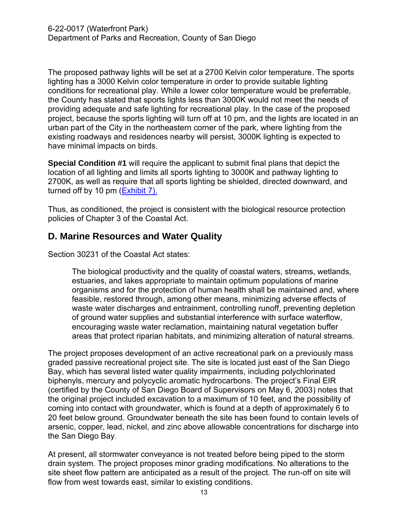The proposed pathway lights will be set at a 2700 Kelvin color temperature. The sports lighting has a 3000 Kelvin color temperature in order to provide suitable lighting conditions for recreational play. While a lower color temperature would be preferrable, the County has stated that sports lights less than 3000K would not meet the needs of providing adequate and safe lighting for recreational play. In the case of the proposed project, because the sports lighting will turn off at 10 pm, and the lights are located in an urban part of the City in the northeastern corner of the park, where lighting from the existing roadways and residences nearby will persist, 3000K lighting is expected to have minimal impacts on birds.

**Special Condition #1** will require the applicant to submit final plans that depict the location of all lighting and limits all sports lighting to 3000K and pathway lighting to 2700K, as well as require that all sports lighting be shielded, directed downward, and turned off by 10 pm [\(Exhibit 7\).](https://documents.coastal.ca.gov/reports/2022/6/th18a/th18a-6-2022-exhibits.pdf)

Thus, as conditioned, the project is consistent with the biological resource protection policies of Chapter 3 of the Coastal Act.

## <span id="page-12-0"></span>**D. Marine Resources and Water Quality**

Section 30231 of the Coastal Act states:

The biological productivity and the quality of coastal waters, streams, wetlands, estuaries, and lakes appropriate to maintain optimum populations of marine organisms and for the protection of human health shall be maintained and, where feasible, restored through, among other means, minimizing adverse effects of waste water discharges and entrainment, controlling runoff, preventing depletion of ground water supplies and substantial interference with surface waterflow, encouraging waste water reclamation, maintaining natural vegetation buffer areas that protect riparian habitats, and minimizing alteration of natural streams.

The project proposes development of an active recreational park on a previously mass graded passive recreational project site. The site is located just east of the San Diego Bay, which has several listed water quality impairments, including polychlorinated biphenyls, mercury and polycyclic aromatic hydrocarbons. The project's Final EIR (certified by the County of San Diego Board of Supervisors on May 6, 2003) notes that the original project included excavation to a maximum of 10 feet, and the possibility of coming into contact with groundwater, which is found at a depth of approximately 6 to 20 feet below ground. Groundwater beneath the site has been found to contain levels of arsenic, copper, lead, nickel, and zinc above allowable concentrations for discharge into the San Diego Bay.

At present, all stormwater conveyance is not treated before being piped to the storm drain system. The project proposes minor grading modifications. No alterations to the site sheet flow pattern are anticipated as a result of the project. The run-off on site will flow from west towards east, similar to existing conditions.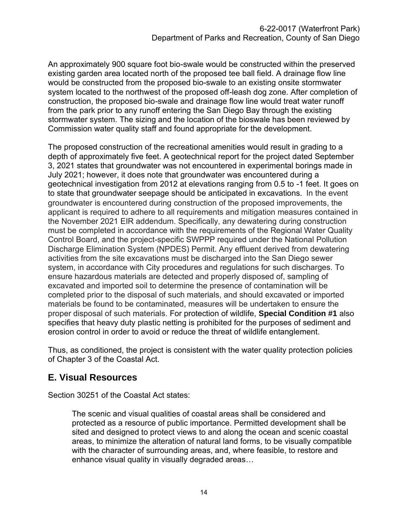An approximately 900 square foot bio-swale would be constructed within the preserved existing garden area located north of the proposed tee ball field. A drainage flow line would be constructed from the proposed bio-swale to an existing onsite stormwater system located to the northwest of the proposed off-leash dog zone. After completion of construction, the proposed bio-swale and drainage flow line would treat water runoff from the park prior to any runoff entering the San Diego Bay through the existing stormwater system. The sizing and the location of the bioswale has been reviewed by Commission water quality staff and found appropriate for the development.

The proposed construction of the recreational amenities would result in grading to a depth of approximately five feet. A geotechnical report for the project dated September 3, 2021 states that groundwater was not encountered in experimental borings made in July 2021; however, it does note that groundwater was encountered during a geotechnical investigation from 2012 at elevations ranging from 0.5 to -1 feet. It goes on to state that groundwater seepage should be anticipated in excavations. In the event groundwater is encountered during construction of the proposed improvements, the applicant is required to adhere to all requirements and mitigation measures contained in the November 2021 EIR addendum. Specifically, any dewatering during construction must be completed in accordance with the requirements of the Regional Water Quality Control Board, and the project-specific SWPPP required under the National Pollution Discharge Elimination System (NPDES) Permit. Any effluent derived from dewatering activities from the site excavations must be discharged into the San Diego sewer system, in accordance with City procedures and regulations for such discharges. To ensure hazardous materials are detected and properly disposed of, sampling of excavated and imported soil to determine the presence of contamination will be completed prior to the disposal of such materials, and should excavated or imported materials be found to be contaminated, measures will be undertaken to ensure the proper disposal of such materials. For protection of wildlife, **Special Condition #1** also specifies that heavy duty plastic netting is prohibited for the purposes of sediment and erosion control in order to avoid or reduce the threat of wildlife entanglement.

Thus, as conditioned, the project is consistent with the water quality protection policies of Chapter 3 of the Coastal Act.

# <span id="page-13-0"></span>**E. Visual Resources**

Section 30251 of the Coastal Act states:

The scenic and visual qualities of coastal areas shall be considered and protected as a resource of public importance. Permitted development shall be sited and designed to protect views to and along the ocean and scenic coastal areas, to minimize the alteration of natural land forms, to be visually compatible with the character of surrounding areas, and, where feasible, to restore and enhance visual quality in visually degraded areas…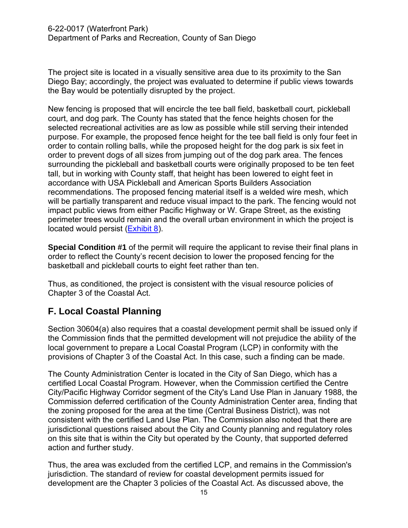The project site is located in a visually sensitive area due to its proximity to the San Diego Bay; accordingly, the project was evaluated to determine if public views towards the Bay would be potentially disrupted by the project.

New fencing is proposed that will encircle the tee ball field, basketball court, pickleball court, and dog park. The County has stated that the fence heights chosen for the selected recreational activities are as low as possible while still serving their intended purpose. For example, the proposed fence height for the tee ball field is only four feet in order to contain rolling balls, while the proposed height for the dog park is six feet in order to prevent dogs of all sizes from jumping out of the dog park area. The fences surrounding the pickleball and basketball courts were originally proposed to be ten feet tall, but in working with County staff, that height has been lowered to eight feet in accordance with USA Pickleball and American Sports Builders Association recommendations. The proposed fencing material itself is a welded wire mesh, which will be partially transparent and reduce visual impact to the park. The fencing would not impact public views from either Pacific Highway or W. Grape Street, as the existing perimeter trees would remain and the overall urban environment in which the project is located would persist (**Exhibit 8**).

**Special Condition #1** of the permit will require the applicant to revise their final plans in order to reflect the County's recent decision to lower the proposed fencing for the basketball and pickleball courts to eight feet rather than ten.

Thus, as conditioned, the project is consistent with the visual resource policies of Chapter 3 of the Coastal Act.

# <span id="page-14-0"></span>**F. Local Coastal Planning**

Section 30604(a) also requires that a coastal development permit shall be issued only if the Commission finds that the permitted development will not prejudice the ability of the local government to prepare a Local Coastal Program (LCP) in conformity with the provisions of Chapter 3 of the Coastal Act. In this case, such a finding can be made.

The County Administration Center is located in the City of San Diego, which has a certified Local Coastal Program. However, when the Commission certified the Centre City/Pacific Highway Corridor segment of the City's Land Use Plan in January 1988, the Commission deferred certification of the County Administration Center area, finding that the zoning proposed for the area at the time (Central Business District), was not consistent with the certified Land Use Plan. The Commission also noted that there are jurisdictional questions raised about the City and County planning and regulatory roles on this site that is within the City but operated by the County, that supported deferred action and further study.

Thus, the area was excluded from the certified LCP, and remains in the Commission's jurisdiction. The standard of review for coastal development permits issued for development are the Chapter 3 policies of the Coastal Act. As discussed above, the